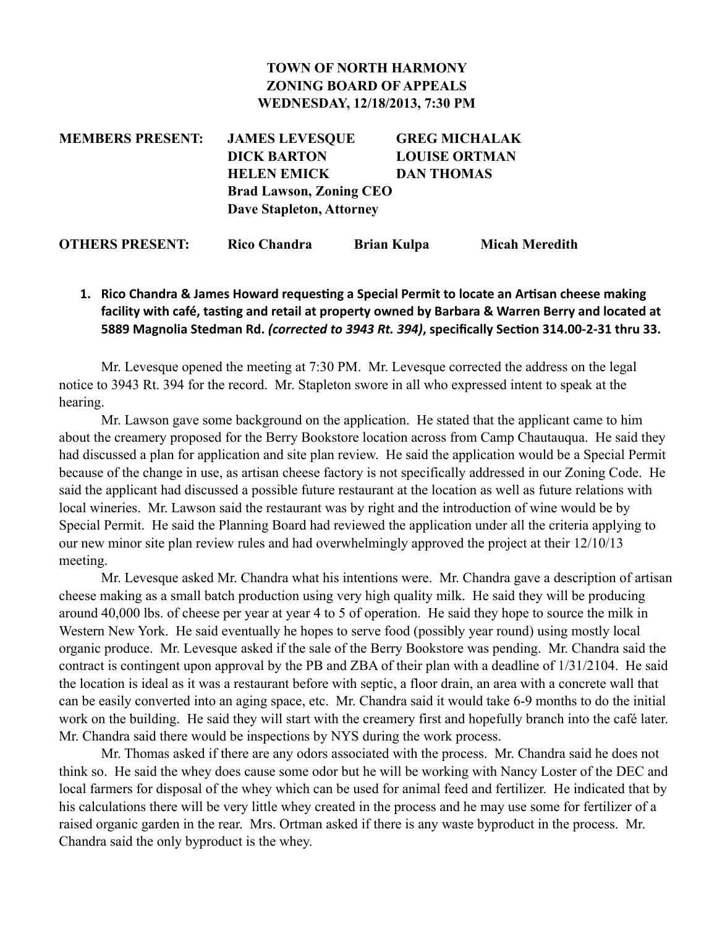### **TOWN OF NORTH HARMONY ZONING BOARD OF APPEALS WEDNESDAY, 12/18/2013, 7:30 PM**

**MEMBERS PRESENT: JAMES LEVESQUE GREG MICHALAK DICK BARTON LOUISE ORTMAN HELEN EMICK DAN THOMAS Brad Lawson, Zoning CEO Dave Stapleton, Attorney**

**OTHERS PRESENT: Rico Chandra Brian Kulpa Micah Meredith**

## **1.** Rico Chandra & James Howard requesting a Special Permit to locate an Artisan cheese making facility with café, tasting and retail at property owned by Barbara & Warren Berry and located at 5889 Magnolia Stedman Rd. *(corrected to 3943 Rt. 394)*, specifically Section 314.00-2-31 thru 33.

Mr. Levesque opened the meeting at 7:30 PM. Mr. Levesque corrected the address on the legal notice to 3943 Rt. 394 for the record. Mr. Stapleton swore in all who expressed intent to speak at the hearing.

 Mr. Lawson gave some background on the application. He stated that the applicant came to him about the creamery proposed for the Berry Bookstore location across from Camp Chautauqua. He said they had discussed a plan for application and site plan review. He said the application would be a Special Permit because of the change in use, as artisan cheese factory is not specifically addressed in our Zoning Code. He said the applicant had discussed a possible future restaurant at the location as well as future relations with local wineries. Mr. Lawson said the restaurant was by right and the introduction of wine would be by Special Permit. He said the Planning Board had reviewed the application under all the criteria applying to our new minor site plan review rules and had overwhelmingly approved the project at their 12/10/13 meeting.

Mr. Levesque asked Mr. Chandra what his intentions were. Mr. Chandra gave a description of artisan cheese making as a small batch production using very high quality milk. He said they will be producing around 40,000 lbs. of cheese per year at year 4 to 5 of operation. He said they hope to source the milk in Western New York. He said eventually he hopes to serve food (possibly year round) using mostly local organic produce. Mr. Levesque asked if the sale of the Berry Bookstore was pending. Mr. Chandra said the contract is contingent upon approval by the PB and ZBA of their plan with a deadline of 1/31/2104. He said the location is ideal as it was a restaurant before with septic, a floor drain, an area with a concrete wall that can be easily converted into an aging space, etc. Mr. Chandra said it would take 6-9 months to do the initial work on the building. He said they will start with the creamery first and hopefully branch into the café later. Mr. Chandra said there would be inspections by NYS during the work process.

 Mr. Thomas asked if there are any odors associated with the process. Mr. Chandra said he does not think so. He said the whey does cause some odor but he will be working with Nancy Loster of the DEC and local farmers for disposal of the whey which can be used for animal feed and fertilizer. He indicated that by his calculations there will be very little whey created in the process and he may use some for fertilizer of a raised organic garden in the rear. Mrs. Ortman asked if there is any waste byproduct in the process. Mr. Chandra said the only byproduct is the whey.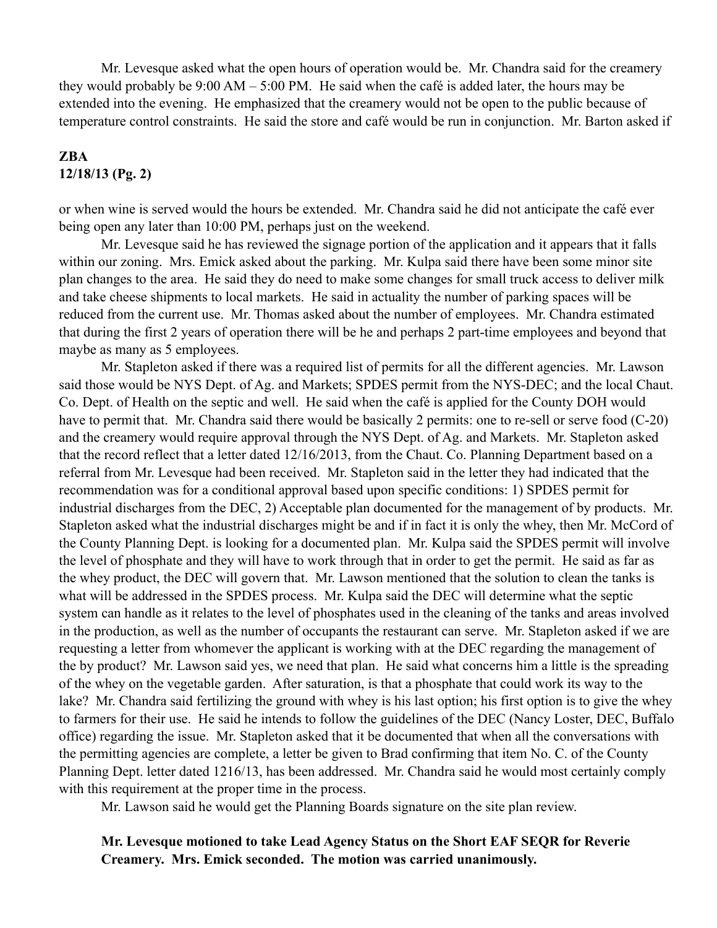Mr. Levesque asked what the open hours of operation would be. Mr. Chandra said for the creamery they would probably be 9:00 AM – 5:00 PM. He said when the café is added later, the hours may be extended into the evening. He emphasized that the creamery would not be open to the public because of temperature control constraints. He said the store and café would be run in conjunction. Mr. Barton asked if

#### **ZBA 12/18/13 (Pg. 2)**

or when wine is served would the hours be extended. Mr. Chandra said he did not anticipate the café ever being open any later than 10:00 PM, perhaps just on the weekend.

 Mr. Levesque said he has reviewed the signage portion of the application and it appears that it falls within our zoning. Mrs. Emick asked about the parking. Mr. Kulpa said there have been some minor site plan changes to the area. He said they do need to make some changes for small truck access to deliver milk and take cheese shipments to local markets. He said in actuality the number of parking spaces will be reduced from the current use. Mr. Thomas asked about the number of employees. Mr. Chandra estimated that during the first 2 years of operation there will be he and perhaps 2 part-time employees and beyond that maybe as many as 5 employees.

 Mr. Stapleton asked if there was a required list of permits for all the different agencies. Mr. Lawson said those would be NYS Dept. of Ag. and Markets; SPDES permit from the NYS-DEC; and the local Chaut. Co. Dept. of Health on the septic and well. He said when the café is applied for the County DOH would have to permit that. Mr. Chandra said there would be basically 2 permits: one to re-sell or serve food (C-20) and the creamery would require approval through the NYS Dept. of Ag. and Markets. Mr. Stapleton asked that the record reflect that a letter dated 12/16/2013, from the Chaut. Co. Planning Department based on a referral from Mr. Levesque had been received. Mr. Stapleton said in the letter they had indicated that the recommendation was for a conditional approval based upon specific conditions: 1) SPDES permit for industrial discharges from the DEC, 2) Acceptable plan documented for the management of by products. Mr. Stapleton asked what the industrial discharges might be and if in fact it is only the whey, then Mr. McCord of the County Planning Dept. is looking for a documented plan. Mr. Kulpa said the SPDES permit will involve the level of phosphate and they will have to work through that in order to get the permit. He said as far as the whey product, the DEC will govern that. Mr. Lawson mentioned that the solution to clean the tanks is what will be addressed in the SPDES process. Mr. Kulpa said the DEC will determine what the septic system can handle as it relates to the level of phosphates used in the cleaning of the tanks and areas involved in the production, as well as the number of occupants the restaurant can serve. Mr. Stapleton asked if we are requesting a letter from whomever the applicant is working with at the DEC regarding the management of the by product? Mr. Lawson said yes, we need that plan. He said what concerns him a little is the spreading of the whey on the vegetable garden. After saturation, is that a phosphate that could work its way to the lake? Mr. Chandra said fertilizing the ground with whey is his last option; his first option is to give the whey to farmers for their use. He said he intends to follow the guidelines of the DEC (Nancy Loster, DEC, Buffalo office) regarding the issue. Mr. Stapleton asked that it be documented that when all the conversations with the permitting agencies are complete, a letter be given to Brad confirming that item No. C. of the County Planning Dept. letter dated 1216/13, has been addressed. Mr. Chandra said he would most certainly comply with this requirement at the proper time in the process.

Mr. Lawson said he would get the Planning Boards signature on the site plan review.

#### **Mr. Levesque motioned to take Lead Agency Status on the Short EAF SEQR for Reverie Creamery. Mrs. Emick seconded. The motion was carried unanimously.**